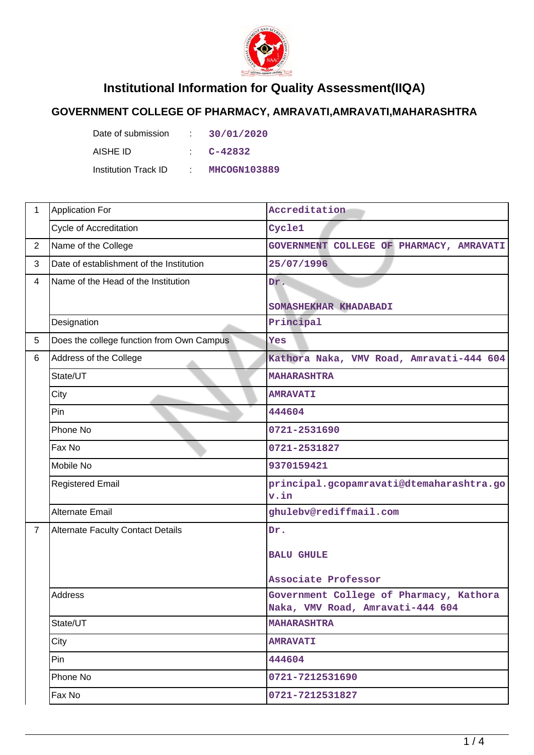

## **Institutional Information for Quality Assessment(IIQA)**

## **GOVERNMENT COLLEGE OF PHARMACY, AMRAVATI,AMRAVATI,MAHARASHTRA**

| Date of submission   | t. | 30/01/2020   |
|----------------------|----|--------------|
| AISHE ID             |    | C-42832      |
| Institution Track ID | A. | MHCOGN103889 |

| 1              | <b>Application For</b>                    | Accreditation                                                               |
|----------------|-------------------------------------------|-----------------------------------------------------------------------------|
|                | <b>Cycle of Accreditation</b>             | Cycle1                                                                      |
| $\overline{2}$ | Name of the College                       | GOVERNMENT COLLEGE OF PHARMACY, AMRAVATI                                    |
| 3              | Date of establishment of the Institution  | 25/07/1996                                                                  |
| $\overline{4}$ | Name of the Head of the Institution       | Dr.                                                                         |
|                |                                           | SOMASHEKHAR KHADABADI                                                       |
|                | Designation                               | Principal                                                                   |
| 5              | Does the college function from Own Campus | Yes                                                                         |
| 6              | Address of the College                    | Kathora Naka, VMV Road, Amravati-444 604                                    |
|                | State/UT                                  | <b>MAHARASHTRA</b>                                                          |
|                | City                                      | <b>AMRAVATI</b>                                                             |
|                | Pin                                       | 444604                                                                      |
|                | Phone No                                  | 0721-2531690                                                                |
|                | Fax No                                    | 0721-2531827                                                                |
|                | Mobile No                                 | 9370159421                                                                  |
|                | <b>Registered Email</b>                   | principal.gcopamravati@dtemaharashtra.go<br>v.in                            |
|                | <b>Alternate Email</b>                    | ghulebv@rediffmail.com                                                      |
| $\overline{7}$ | <b>Alternate Faculty Contact Details</b>  | Dr.                                                                         |
|                |                                           | <b>BALU GHULE</b>                                                           |
|                |                                           |                                                                             |
|                |                                           | Associate Professor                                                         |
|                | <b>Address</b>                            | Government College of Pharmacy, Kathora<br>Naka, VMV Road, Amravati-444 604 |
|                | State/UT                                  | <b>MAHARASHTRA</b>                                                          |
|                | City                                      | <b>AMRAVATI</b>                                                             |
|                | Pin                                       | 444604                                                                      |
|                | Phone No                                  | 0721-7212531690                                                             |
|                | Fax No                                    | 0721-7212531827                                                             |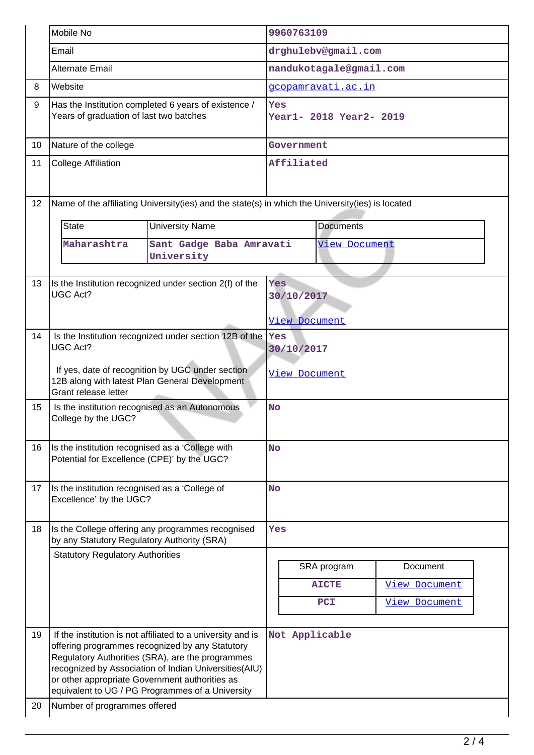|          | Mobile No                                                                                                                  |                                                                                                                                                                                                                                                                                 |                                | 9960763109                |                     |                                              |
|----------|----------------------------------------------------------------------------------------------------------------------------|---------------------------------------------------------------------------------------------------------------------------------------------------------------------------------------------------------------------------------------------------------------------------------|--------------------------------|---------------------------|---------------------|----------------------------------------------|
|          | Email                                                                                                                      |                                                                                                                                                                                                                                                                                 | drghulebv@gmail.com            |                           |                     |                                              |
|          | Alternate Email                                                                                                            |                                                                                                                                                                                                                                                                                 | nandukotagale@gmail.com        |                           |                     |                                              |
| 8        | Website                                                                                                                    |                                                                                                                                                                                                                                                                                 |                                | <u>gcopamravati.ac.in</u> |                     |                                              |
| 9        | Years of graduation of last two batches                                                                                    | Has the Institution completed 6 years of existence /                                                                                                                                                                                                                            | Yes<br>Year1- 2018 Year2- 2019 |                           |                     |                                              |
| 10       | Nature of the college                                                                                                      |                                                                                                                                                                                                                                                                                 | Government                     |                           |                     |                                              |
| 11       | <b>College Affiliation</b>                                                                                                 |                                                                                                                                                                                                                                                                                 | Affiliated                     |                           |                     |                                              |
| 12       |                                                                                                                            | Name of the affiliating University(ies) and the state(s) in which the University(ies) is located                                                                                                                                                                                |                                |                           |                     |                                              |
|          | State                                                                                                                      | <b>University Name</b>                                                                                                                                                                                                                                                          | <b>Documents</b>               |                           |                     |                                              |
|          | Maharashtra                                                                                                                | Sant Gadge Baba Amravati<br>University                                                                                                                                                                                                                                          | <b>View Document</b>           |                           |                     |                                              |
| 13       | Is the Institution recognized under section 2(f) of the<br><b>UGC Act?</b>                                                 |                                                                                                                                                                                                                                                                                 |                                | Yes<br>30/10/2017         |                     |                                              |
|          |                                                                                                                            |                                                                                                                                                                                                                                                                                 | <u>View Document</u>           |                           |                     |                                              |
| 14       | Is the Institution recognized under section 12B of the<br><b>UGC Act?</b>                                                  |                                                                                                                                                                                                                                                                                 | Yes<br>30/10/2017              |                           |                     |                                              |
|          | If yes, date of recognition by UGC under section<br>12B along with latest Plan General Development<br>Grant release letter |                                                                                                                                                                                                                                                                                 |                                | View Document             |                     |                                              |
| 15       | Is the institution recognised as an Autonomous<br>College by the UGC?                                                      |                                                                                                                                                                                                                                                                                 | No                             |                           |                     |                                              |
| 16       | Is the institution recognised as a 'College with<br>Potential for Excellence (CPE)' by the UGC?                            |                                                                                                                                                                                                                                                                                 | <b>No</b>                      |                           |                     |                                              |
| 17       | Is the institution recognised as a 'College of<br>Excellence' by the UGC?                                                  |                                                                                                                                                                                                                                                                                 | <b>No</b>                      |                           |                     |                                              |
| 18       | Is the College offering any programmes recognised<br>by any Statutory Regulatory Authority (SRA)                           |                                                                                                                                                                                                                                                                                 | Yes                            |                           |                     |                                              |
|          | <b>Statutory Regulatory Authorities</b>                                                                                    |                                                                                                                                                                                                                                                                                 |                                |                           | SRA program         | Document                                     |
|          |                                                                                                                            |                                                                                                                                                                                                                                                                                 |                                |                           | <b>AICTE</b><br>PCI | <b>View Document</b><br><b>View Document</b> |
| 19<br>20 | or other appropriate Government authorities as<br>Number of programmes offered                                             | If the institution is not affiliated to a university and is<br>offering programmes recognized by any Statutory<br>Regulatory Authorities (SRA), are the programmes<br>recognized by Association of Indian Universities(AIU)<br>equivalent to UG / PG Programmes of a University |                                | Not Applicable            |                     |                                              |
|          |                                                                                                                            |                                                                                                                                                                                                                                                                                 |                                |                           |                     |                                              |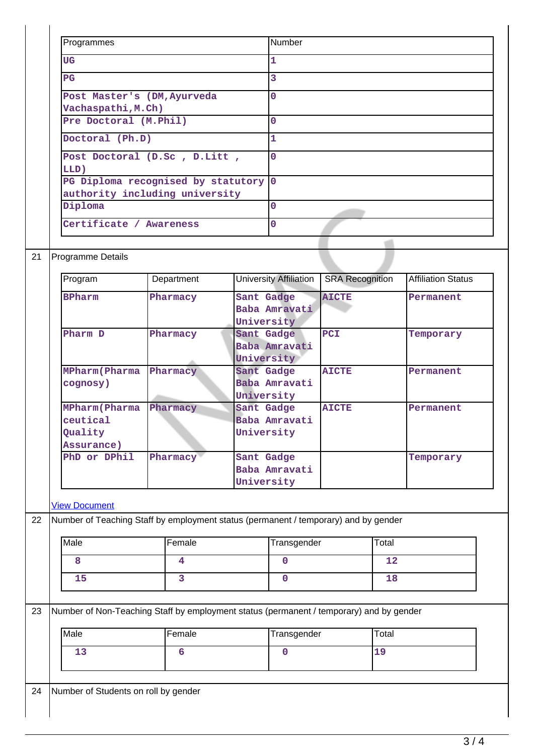| Programmes                           | Number      |
|--------------------------------------|-------------|
| <b>UG</b>                            | 1           |
| $_{\rm PG}$                          | 3           |
| Post Master's (DM, Ayurveda          | 0           |
| Vachaspathi, M.Ch)                   |             |
| Pre Doctoral (M.Phil)                | 0           |
| Doctoral (Ph.D)                      | 1           |
| Post Doctoral (D.Sc, D.Litt,         | $\mathbf 0$ |
| LLD)                                 |             |
| PG Diploma recognised by statutory 0 |             |
| authority including university       |             |
| Diploma                              | $\Omega$    |
| Certificate / Awareness              | 0           |
|                                      |             |
| <b>Programme Details</b>             |             |
|                                      |             |

| Program                                                    | Department | University Affiliation                    | <b>SRA Recognition</b> | <b>Affiliation Status</b> |
|------------------------------------------------------------|------------|-------------------------------------------|------------------------|---------------------------|
| <b>BPharm</b>                                              | Pharmacy   | Sant Gadge<br>Baba Amravati<br>University | <b>AICTE</b>           | Permanent                 |
| Pharm D                                                    | Pharmacy   | Sant Gadge<br>Baba Amravati<br>University | <b>PCI</b>             | Temporary                 |
| <b>MPharm</b> (Pharma<br>cognosy)                          | Pharmacy   | Sant Gadge<br>Baba Amravati<br>University | <b>AICTE</b>           | Permanent                 |
| <b>MPharm</b> (Pharma<br>ceutical<br>Quality<br>Assurance) | Pharmacy   | Sant Gadge<br>Baba Amravati<br>University | <b>AICTE</b>           | Permanent                 |
| PhD or DPhil                                               | Pharmacy   | Sant Gadge<br>Baba Amravati<br>University |                        | Temporary                 |

## [View Document](https://assessmentonline.naac.gov.in/storage/app/hei/iiqa/ugcdocuments/103889_4648_14_1580130955.pdf)

 $\overline{1}$ 

22 Number of Teaching Staff by employment status (permanent / temporary) and by gender

| Male | Female | Transgender | Total |
|------|--------|-------------|-------|
|      |        |             |       |
| ᆠ    |        |             |       |

23 Number of Non-Teaching Staff by employment status (permanent / temporary) and by gender

| Male | Female | Transgender | Total |
|------|--------|-------------|-------|
| --   |        |             | س مقد |

24 Number of Students on roll by gender